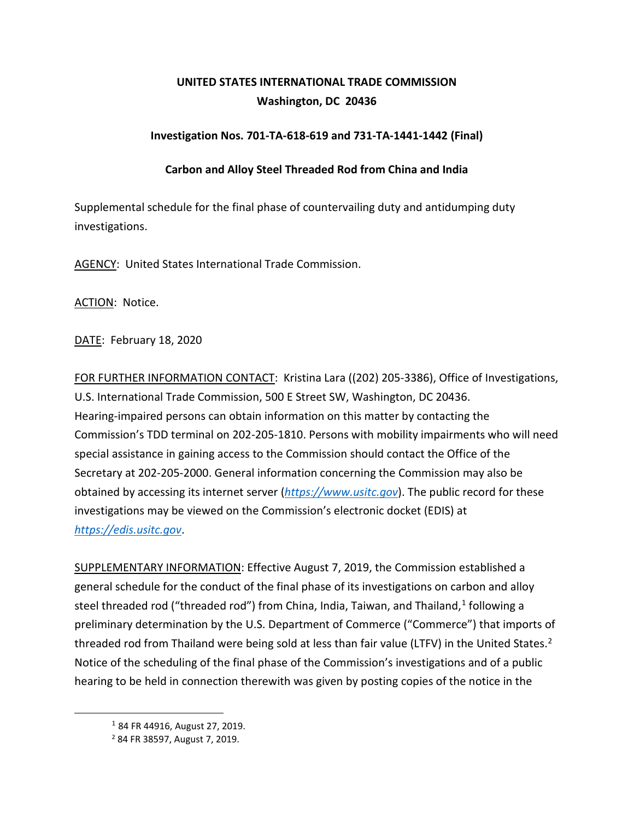## **UNITED STATES INTERNATIONAL TRADE COMMISSION Washington, DC 20436**

## **Investigation Nos. 701-TA-618-619 and 731-TA-1441-1442 (Final)**

## **Carbon and Alloy Steel Threaded Rod from China and India**

Supplemental schedule for the final phase of countervailing duty and antidumping duty investigations.

AGENCY: United States International Trade Commission.

ACTION: Notice.

DATE: February 18, 2020

FOR FURTHER INFORMATION CONTACT: Kristina Lara ((202) 205-3386), Office of Investigations, U.S. International Trade Commission, 500 E Street SW, Washington, DC 20436. Hearing-impaired persons can obtain information on this matter by contacting the Commission's TDD terminal on 202-205-1810. Persons with mobility impairments who will need special assistance in gaining access to the Commission should contact the Office of the Secretary at 202-205-2000. General information concerning the Commission may also be obtained by accessing its internet server (*[https://www.usitc.gov](https://www.usitc.gov/)*). The public record for these investigations may be viewed on the Commission's electronic docket (EDIS) at *[https://edis.usitc.gov](https://edis.usitc.gov/)*.

SUPPLEMENTARY INFORMATION: Effective August 7, 2019, the Commission established a general schedule for the conduct of the final phase of its investigations on carbon and alloy steel threaded rod ("threaded rod") from China, India, Taiwan, and Thailand, $1$  following a preliminary determination by the U.S. Department of Commerce ("Commerce") that imports of threaded rod from Thailand were being sold at less than fair value (LTFV) in the United States.<sup>[2](#page-0-1)</sup> Notice of the scheduling of the final phase of the Commission's investigations and of a public hearing to be held in connection therewith was given by posting copies of the notice in the

<span id="page-0-0"></span><sup>1</sup> 84 FR 44916, August 27, 2019.

<span id="page-0-1"></span><sup>2</sup> 84 FR 38597, August 7, 2019.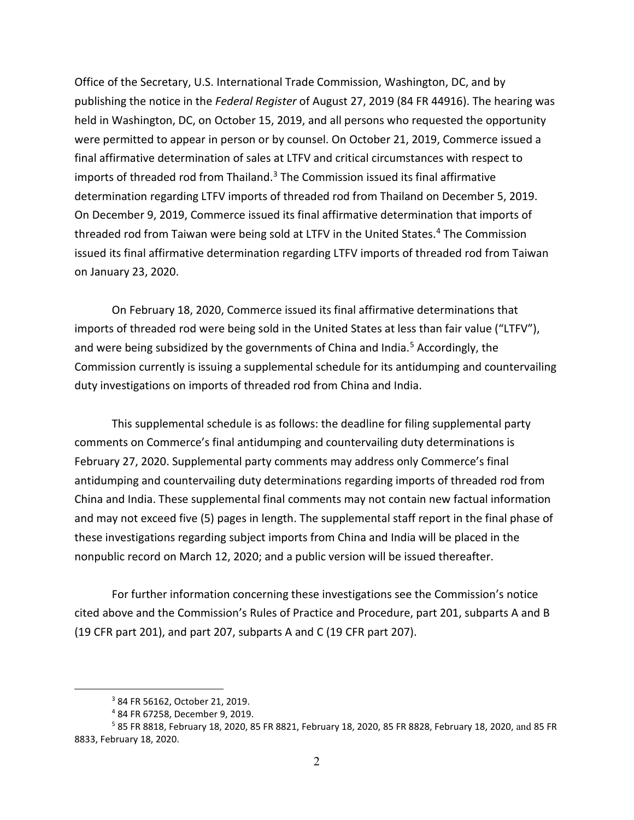Office of the Secretary, U.S. International Trade Commission, Washington, DC, and by publishing the notice in the *Federal Register* of August 27, 2019 (84 FR 44916). The hearing was held in Washington, DC, on October 15, 2019, and all persons who requested the opportunity were permitted to appear in person or by counsel. On October 21, 2019, Commerce issued a final affirmative determination of sales at LTFV and critical circumstances with respect to imports of threaded rod from Thailand. [3](#page-1-0) The Commission issued its final affirmative determination regarding LTFV imports of threaded rod from Thailand on December 5, 2019. On December 9, 2019, Commerce issued its final affirmative determination that imports of threaded rod from Taiwan were being sold at LTFV in the United States. [4](#page-1-1) The Commission issued its final affirmative determination regarding LTFV imports of threaded rod from Taiwan on January 23, 2020.

On February 18, 2020, Commerce issued its final affirmative determinations that imports of threaded rod were being sold in the United States at less than fair value ("LTFV"), and were being subsidized by the governments of China and India. [5](#page-1-2) Accordingly, the Commission currently is issuing a supplemental schedule for its antidumping and countervailing duty investigations on imports of threaded rod from China and India.

This supplemental schedule is as follows: the deadline for filing supplemental party comments on Commerce's final antidumping and countervailing duty determinations is February 27, 2020. Supplemental party comments may address only Commerce's final antidumping and countervailing duty determinations regarding imports of threaded rod from China and India. These supplemental final comments may not contain new factual information and may not exceed five (5) pages in length. The supplemental staff report in the final phase of these investigations regarding subject imports from China and India will be placed in the nonpublic record on March 12, 2020; and a public version will be issued thereafter.

For further information concerning these investigations see the Commission's notice cited above and the Commission's Rules of Practice and Procedure, part 201, subparts A and B (19 CFR part 201), and part 207, subparts A and C (19 CFR part 207).

<sup>3</sup> 84 FR 56162, October 21, 2019.

<sup>4</sup> 84 FR 67258, December 9, 2019.

<span id="page-1-2"></span><span id="page-1-1"></span><span id="page-1-0"></span><sup>5</sup> 85 FR 8818, February 18, 2020, 85 FR 8821, February 18, 2020, 85 FR 8828, February 18, 2020, and 85 FR 8833, February 18, 2020.